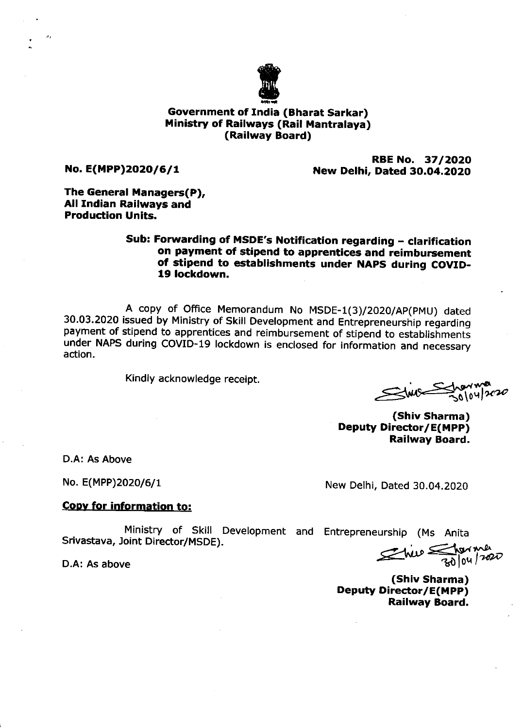

# Government of India (Bharat Sarkar) Ministry of Railways (Rail Mantralaya) (Railway Board)

No. E(MPP)2020/6/1

RBE No. 37/2020 New Delhi, Dated 3O.O4.2O2O

The General Managers(P), All Indian Railways and Production Units.

# Sub: Forwarding of MSDE's Notification regarding - clarification on payment of stipend to apprentices and reimbursement of stipend to establishments under NAPS during COVID-19 lockdown.

A copy of Office Memorandum No MSDE-1(3)/2020/AP(PMU) dated<br>30.03.2020 issued by Ministry of Skill Development and Entrepreneurship regarding payment of stipend to apprentices and reimbursement of stipend to establishments under NAPS during coVID-19 lockdown is enclosed for information and necessary action.

Kindly acknowledge receipt.

50\o wa  $u$ l $\alpha$ z $\sigma$ 

(Shiv Sharma) Deputy Director/E(MPP) Railway Board.

D.A: As Above

No. E(MPP)2020/6/1

New Delhi, Dated 30.04.2020

### Cooy for information to:

Ministry of Skill Development and Entrepreneurship (Ms Anita Srivastava, Joint Director/MSDE).

D.A: As above

 $\epsilon$ hip  $\epsilon$  torms

(Shiv Sharma) Deputy Director/E(MPP) Railway Board.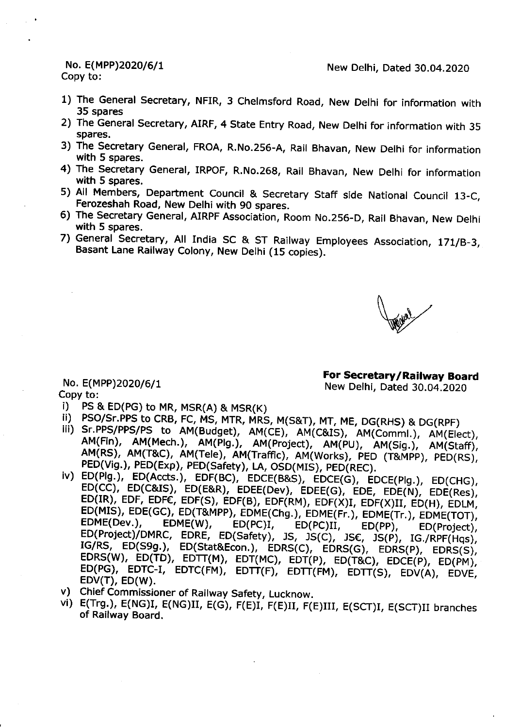#### No. E(MPP)2020/6/1 Copy to:

- 1) The General Secretary, NFIR, 3 Chelmsford Road, New Delhi for information with 35 spares
- 2) The General Secretary, AIRF, 4 State Entry Road, New Delhi for information with 35 spares.
- 3) The Secretary General, FROA, R.No.256-A, Rail Bhavan, New Delhi for information with 5 spares.
- 4) The Secretary General, IRPOF, R.No.268, Rail Bhavan, New Delhi for information with 5 spares.
- 5) All Members, Department Council & Secretary Staff side National Council 13-C, Ferozeshah Road, New Delhi with 90 spares.
- 6) The Secretary General, AIRPF Association, Room No.256-D, Rail Bhavan, New Delhi with 5 spares.
- 7) General Secretary, All India SC & ST Railway Employees Association, 171/B-3, Basant Lane Railway Colony, New Delhi (15 copies).

For Secretary/Railway Board New Delhi, Dated 30.04.2020

- No. E(MPP)2020/6/1 Copy to:
- i) -PS & ED(PG) to MR, MSR(A) & MSR(K)
- ii) PSO/Sr.PPS to CRB, FC, MS, MTR, MRS, M(S&T), MT, ME, DG(RHS) & DG(RPF)
- III) Sr.PPS/PPS/PS to AM(Budget), AM(CE), AM(C&IS), AM(Comml.), AM(Elect), AM(Fin), AM(Mech.), AM(Plg.), AM(Project), AM(PU), AM(Sig.), AM(Staff), AM(RS), AM(T&C), AM(Tele), AM(Traffic), AM(Works), PED (T&MPP), PED(RS), PED(Vig.), PED(Exp), PED(Safety), LA, OSD(MIS), PED(REC).
- iv) ED(Plg.), ED(Accts.), EDF(BC), EDCE(B&S), EDCE(G), EDCE(Plg.), ED(CHG), ED(CC), ED(C&IS), ED(E&R), EDEE(Dev), EDEE(G), EDE, EDE(N), EDE(Res), ED(IR), EDF, EDFE, EDF(S), EDF(B), EDF(RM), EDF(X)I, EDF(X)II, ED(H), EDLM, ED(MIS), EDE(GC), ED(T&MPP), EDME(Chg.), EDME(Fr.), EDME(Tr.), EDME(TOT), EDME(Dev.),  $EDME(W)$ ,  $ED(PC)I$  $ED(PC)II,$  $ED(PP)$ , ED(Project), ED(Project)/DMRC, EDRE, ED(Safety), JS, JS(C), JS€, JS(P), IG./RPF(Hqs), IG/RS, ED(S9g.), ED(Stat&Econ.), EDRS(C), EDRS(G), EDRS(P), EDRS(S), EDRS(W), ED(TD), EDTT(M), EDT(MC), EDT(P), ED(T&C), EDCE(P), ED(PM), ED(PG), EDTC-I, EDTC(FM), EDTT(F), EDTT(FM), EDTT(S), EDV(A), EDVE,  $EDV(T)$ ,  $ED(W)$ .
- v) Chief Commissioner of Railway Safety, Lucknow.
- vi) E(Trg.), E(NG)I, E(NG)II, E(G), F(E)I, F(E)II, F(E)III, E(SCT)I, E(SCT)II branches of Railway Board.